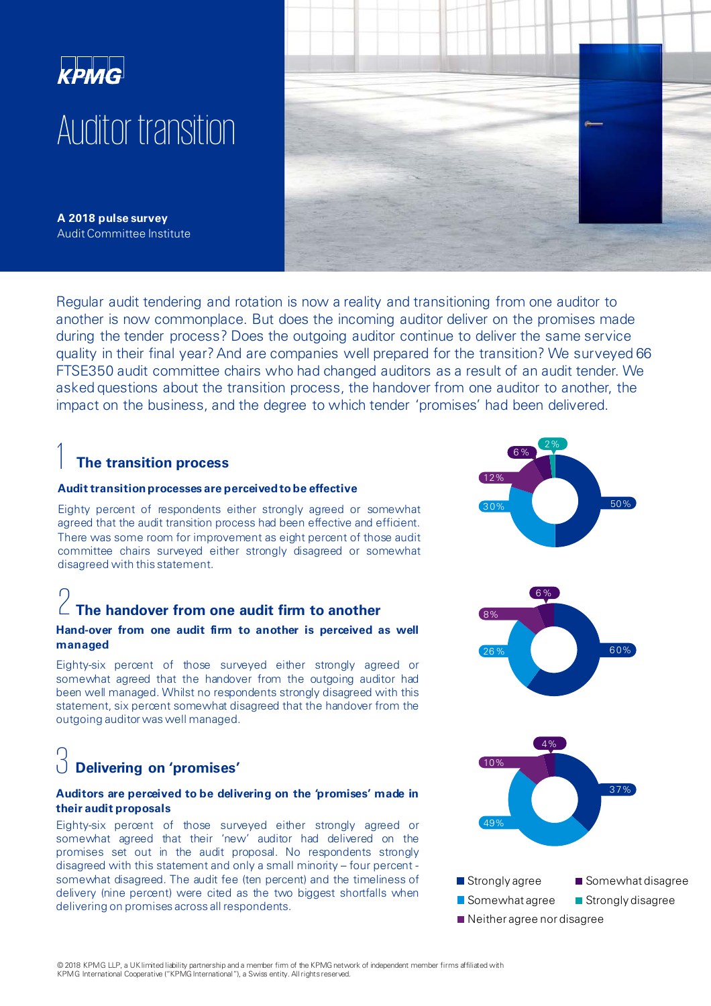

**A 2018 pulse survey**  Audit Committee Institute



## **The transition process**

#### **Audit transitionprocesses are perceivedtobe effective**

Eighty percent of respondents either strongly agreed or somewhat agreed that the audit transition process had been effective and efficient. There was some room for improvement as eight percent of those audit committee chairs surveyed either strongly disagreed or somewhat disagreed with this statement.

# 2 **The handover from one audit firm to another**

#### **Hand-over from one audit firm to another is perceived as well managed**

Eighty-six percent of those surveyed either strongly agreed or somewhat agreed that the handover from the outgoing auditor had been well managed. Whilst no respondents strongly disagreed with this statement, six percent somewhat disagreed that the handover from the outgoing auditor was well managed.

# 3 **Delivering on 'promises'**

#### **Auditors are perceived to be delivering on the 'promises' made in their audit proposals**

Eighty-six percent of those surveyed either strongly agreed or somewhat agreed that their 'new' auditor had delivered on the promises set out in the audit proposal. No respondents strongly disagreed with this statement and only a small minority – four percent somewhat disagreed. The audit fee (ten percent) and the timeliness of delivery (nine percent) were cited as the two biggest shortfalls when delivering on promises across all respondents.